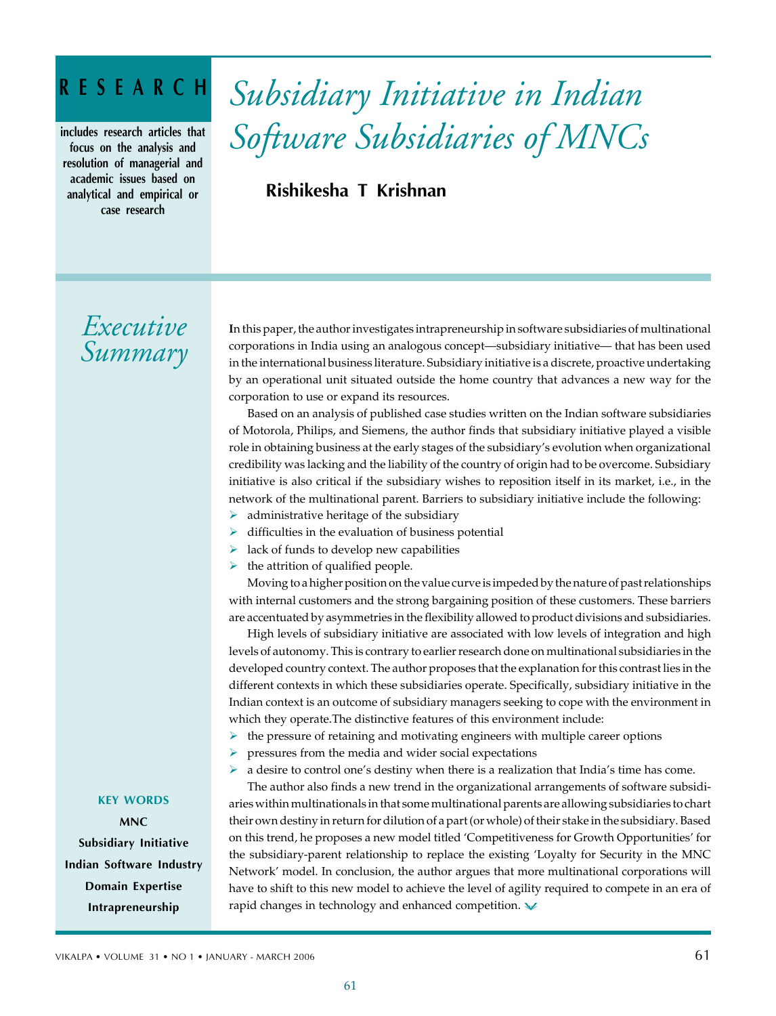# **RESEARCH**

**includes research articles that focus on the analysis and resolution of managerial and academic issues based on analytical and empirical or case research**

# *Subsidiary Initiative in Indian Software Subsidiaries of MNCs*

**Rishikesha T Krishnan**

# *Executive Summary*

**I**n this paper, the author investigates intrapreneurship in software subsidiaries of multinational corporations in India using an analogous concept—subsidiary initiative— that has been used in the international business literature. Subsidiary initiative is a discrete, proactive undertaking by an operational unit situated outside the home country that advances a new way for the corporation to use or expand its resources.

Based on an analysis of published case studies written on the Indian software subsidiaries of Motorola, Philips, and Siemens, the author finds that subsidiary initiative played a visible role in obtaining business at the early stages of the subsidiary's evolution when organizational credibility was lacking and the liability of the country of origin had to be overcome. Subsidiary initiative is also critical if the subsidiary wishes to reposition itself in its market, i.e., in the network of the multinational parent. Barriers to subsidiary initiative include the following:

- $\triangleright$  administrative heritage of the subsidiary
- $\triangleright$  difficulties in the evaluation of business potential
- $\triangleright$  lack of funds to develop new capabilities
- $\blacktriangleright$  the attrition of qualified people.

Moving to a higher position on the value curve is impeded by the nature of past relationships with internal customers and the strong bargaining position of these customers. These barriers are accentuated by asymmetries in the flexibility allowed to product divisions and subsidiaries.

High levels of subsidiary initiative are associated with low levels of integration and high levels of autonomy. This is contrary to earlier research done on multinational subsidiaries in the developed country context. The author proposes that the explanation for this contrast lies in the different contexts in which these subsidiaries operate. Specifically, subsidiary initiative in the Indian context is an outcome of subsidiary managers seeking to cope with the environment in which they operate.The distinctive features of this environment include:

- $\triangleright$  the pressure of retaining and motivating engineers with multiple career options
- $\triangleright$  pressures from the media and wider social expectations
- ¾ a desire to control one's destiny when there is a realization that India's time has come.

The author also finds a new trend in the organizational arrangements of software subsidiaries within multinationals in that some multinational parents are allowing subsidiaries to chart their own destiny in return for dilution of a part (or whole) of their stake in the subsidiary. Based on this trend, he proposes a new model titled 'Competitiveness for Growth Opportunities' for the subsidiary-parent relationship to replace the existing 'Loyalty for Security in the MNC Network' model. In conclusion, the author argues that more multinational corporations will have to shift to this new model to achieve the level of agility required to compete in an era of rapid changes in technology and enhanced competition.  $\vee$ 

### **KEY WORDS**

KEY WORDS **Subsidiary Initiative Privatization Indian Software Industry Domain Expertise Efficiency Intrapreneurship MNC**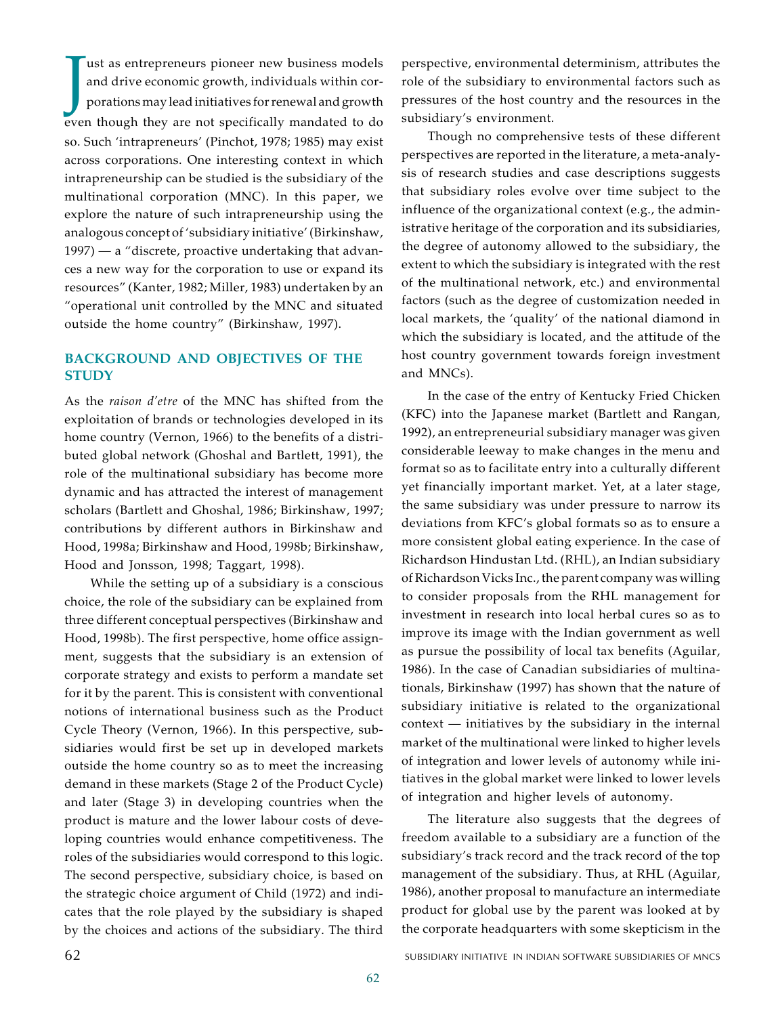I ust as entrepreneurs pioneer new business models<br>and drive economic growth, individuals within cor-<br>porations may lead initiatives for renewal and growth<br>even though they are not specifically mandated to do ust as entrepreneurs pioneer new business models and drive economic growth, individuals within corporations may lead initiatives for renewal and growth so. Such 'intrapreneurs' (Pinchot, 1978; 1985) may exist across corporations. One interesting context in which intrapreneurship can be studied is the subsidiary of the multinational corporation (MNC). In this paper, we explore the nature of such intrapreneurship using the analogous concept of 'subsidiary initiative' (Birkinshaw, 1997) — a "discrete, proactive undertaking that advances a new way for the corporation to use or expand its resources" (Kanter, 1982; Miller, 1983) undertaken by an "operational unit controlled by the MNC and situated outside the home country" (Birkinshaw, 1997).

# **BACKGROUND AND OBJECTIVES OF THE STUDY**

As the *raison d'etre* of the MNC has shifted from the exploitation of brands or technologies developed in its home country (Vernon, 1966) to the benefits of a distributed global network (Ghoshal and Bartlett, 1991), the role of the multinational subsidiary has become more dynamic and has attracted the interest of management scholars (Bartlett and Ghoshal, 1986; Birkinshaw, 1997; contributions by different authors in Birkinshaw and Hood, 1998a; Birkinshaw and Hood, 1998b; Birkinshaw, Hood and Jonsson, 1998; Taggart, 1998).

While the setting up of a subsidiary is a conscious choice, the role of the subsidiary can be explained from three different conceptual perspectives (Birkinshaw and Hood, 1998b). The first perspective, home office assignment, suggests that the subsidiary is an extension of corporate strategy and exists to perform a mandate set for it by the parent. This is consistent with conventional notions of international business such as the Product Cycle Theory (Vernon, 1966). In this perspective, subsidiaries would first be set up in developed markets outside the home country so as to meet the increasing demand in these markets (Stage 2 of the Product Cycle) and later (Stage 3) in developing countries when the product is mature and the lower labour costs of developing countries would enhance competitiveness. The roles of the subsidiaries would correspond to this logic. The second perspective, subsidiary choice, is based on the strategic choice argument of Child (1972) and indicates that the role played by the subsidiary is shaped by the choices and actions of the subsidiary. The third

perspective, environmental determinism, attributes the role of the subsidiary to environmental factors such as pressures of the host country and the resources in the subsidiary's environment.

Though no comprehensive tests of these different perspectives are reported in the literature, a meta-analysis of research studies and case descriptions suggests that subsidiary roles evolve over time subject to the influence of the organizational context (e.g., the administrative heritage of the corporation and its subsidiaries, the degree of autonomy allowed to the subsidiary, the extent to which the subsidiary is integrated with the rest of the multinational network, etc.) and environmental factors (such as the degree of customization needed in local markets, the 'quality' of the national diamond in which the subsidiary is located, and the attitude of the host country government towards foreign investment and MNCs).

In the case of the entry of Kentucky Fried Chicken (KFC) into the Japanese market (Bartlett and Rangan, 1992), an entrepreneurial subsidiary manager was given considerable leeway to make changes in the menu and format so as to facilitate entry into a culturally different yet financially important market. Yet, at a later stage, the same subsidiary was under pressure to narrow its deviations from KFC's global formats so as to ensure a more consistent global eating experience. In the case of Richardson Hindustan Ltd. (RHL), an Indian subsidiary of Richardson Vicks Inc., the parent company was willing to consider proposals from the RHL management for investment in research into local herbal cures so as to improve its image with the Indian government as well as pursue the possibility of local tax benefits (Aguilar, 1986). In the case of Canadian subsidiaries of multinationals, Birkinshaw (1997) has shown that the nature of subsidiary initiative is related to the organizational context — initiatives by the subsidiary in the internal market of the multinational were linked to higher levels of integration and lower levels of autonomy while initiatives in the global market were linked to lower levels of integration and higher levels of autonomy.

The literature also suggests that the degrees of freedom available to a subsidiary are a function of the subsidiary's track record and the track record of the top management of the subsidiary. Thus, at RHL (Aguilar, 1986), another proposal to manufacture an intermediate product for global use by the parent was looked at by the corporate headquarters with some skepticism in the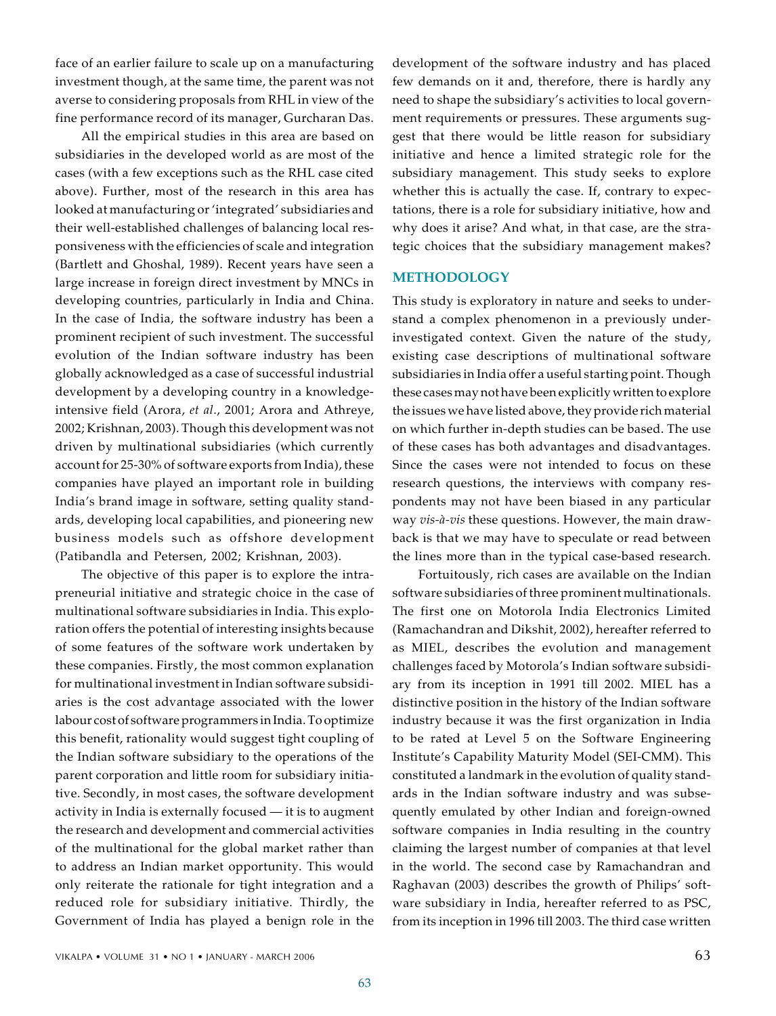face of an earlier failure to scale up on a manufacturing investment though, at the same time, the parent was not averse to considering proposals from RHL in view of the fine performance record of its manager, Gurcharan Das.

All the empirical studies in this area are based on subsidiaries in the developed world as are most of the cases (with a few exceptions such as the RHL case cited above). Further, most of the research in this area has looked at manufacturing or 'integrated' subsidiaries and their well-established challenges of balancing local responsiveness with the efficiencies of scale and integration (Bartlett and Ghoshal, 1989). Recent years have seen a large increase in foreign direct investment by MNCs in developing countries, particularly in India and China. In the case of India, the software industry has been a prominent recipient of such investment. The successful evolution of the Indian software industry has been globally acknowledged as a case of successful industrial development by a developing country in a knowledgeintensive field (Arora, *et al*., 2001; Arora and Athreye, 2002; Krishnan, 2003). Though this development was not driven by multinational subsidiaries (which currently account for 25-30% of software exports from India), these companies have played an important role in building India's brand image in software, setting quality standards, developing local capabilities, and pioneering new business models such as offshore development (Patibandla and Petersen, 2002; Krishnan, 2003).

The objective of this paper is to explore the intrapreneurial initiative and strategic choice in the case of multinational software subsidiaries in India. This exploration offers the potential of interesting insights because of some features of the software work undertaken by these companies. Firstly, the most common explanation for multinational investment in Indian software subsidiaries is the cost advantage associated with the lower labour cost of software programmers in India. To optimize this benefit, rationality would suggest tight coupling of the Indian software subsidiary to the operations of the parent corporation and little room for subsidiary initiative. Secondly, in most cases, the software development activity in India is externally focused — it is to augment the research and development and commercial activities of the multinational for the global market rather than to address an Indian market opportunity. This would only reiterate the rationale for tight integration and a reduced role for subsidiary initiative. Thirdly, the Government of India has played a benign role in the

development of the software industry and has placed few demands on it and, therefore, there is hardly any need to shape the subsidiary's activities to local government requirements or pressures. These arguments suggest that there would be little reason for subsidiary initiative and hence a limited strategic role for the subsidiary management. This study seeks to explore whether this is actually the case. If, contrary to expectations, there is a role for subsidiary initiative, how and why does it arise? And what, in that case, are the strategic choices that the subsidiary management makes?

## **METHODOLOGY**

This study is exploratory in nature and seeks to understand a complex phenomenon in a previously underinvestigated context. Given the nature of the study, existing case descriptions of multinational software subsidiaries in India offer a useful starting point. Though these cases may not have been explicitly written to explore the issues we have listed above, they provide rich material on which further in-depth studies can be based. The use of these cases has both advantages and disadvantages. Since the cases were not intended to focus on these research questions, the interviews with company respondents may not have been biased in any particular way *vis-à-vis* these questions. However, the main drawback is that we may have to speculate or read between the lines more than in the typical case-based research.

Fortuitously, rich cases are available on the Indian software subsidiaries of three prominent multinationals. The first one on Motorola India Electronics Limited (Ramachandran and Dikshit, 2002), hereafter referred to as MIEL, describes the evolution and management challenges faced by Motorola's Indian software subsidiary from its inception in 1991 till 2002. MIEL has a distinctive position in the history of the Indian software industry because it was the first organization in India to be rated at Level 5 on the Software Engineering Institute's Capability Maturity Model (SEI-CMM). This constituted a landmark in the evolution of quality standards in the Indian software industry and was subsequently emulated by other Indian and foreign-owned software companies in India resulting in the country claiming the largest number of companies at that level in the world. The second case by Ramachandran and Raghavan (2003) describes the growth of Philips' software subsidiary in India, hereafter referred to as PSC, from its inception in 1996 till 2003. The third case written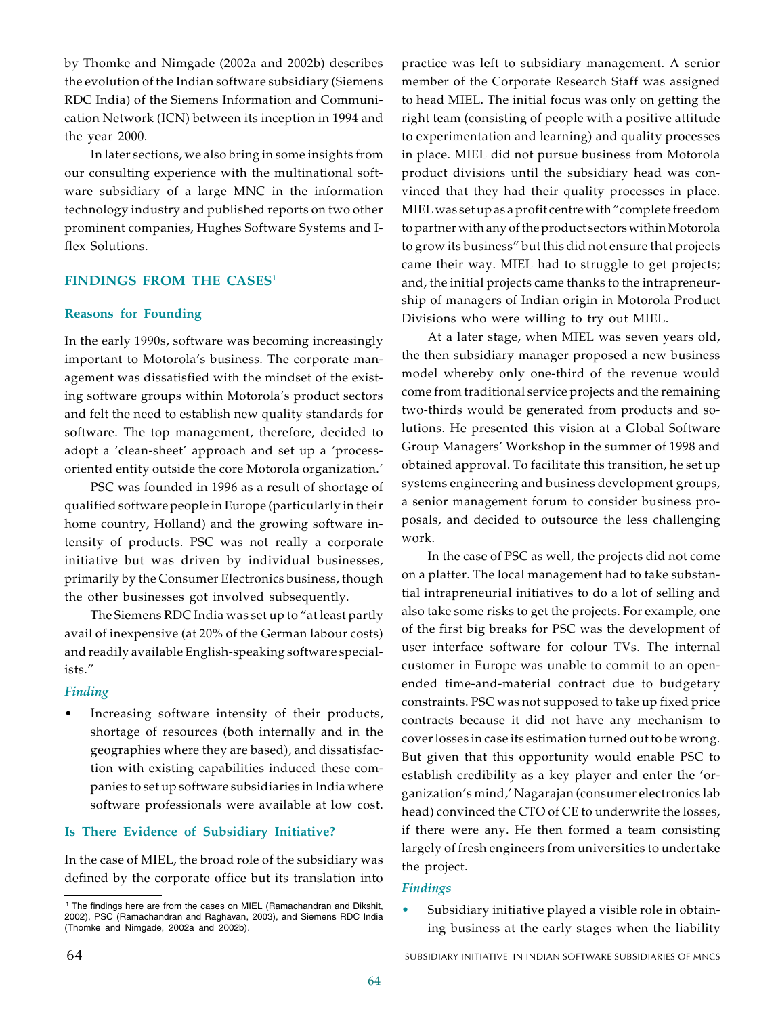by Thomke and Nimgade (2002a and 2002b) describes the evolution of the Indian software subsidiary (Siemens RDC India) of the Siemens Information and Communication Network (ICN) between its inception in 1994 and the year 2000.

In later sections, we also bring in some insights from our consulting experience with the multinational software subsidiary of a large MNC in the information technology industry and published reports on two other prominent companies, Hughes Software Systems and Iflex Solutions.

# **FINDINGS FROM THE CASES<sup>1</sup>**

#### **Reasons for Founding**

In the early 1990s, software was becoming increasingly important to Motorola's business. The corporate management was dissatisfied with the mindset of the existing software groups within Motorola's product sectors and felt the need to establish new quality standards for software. The top management, therefore, decided to adopt a 'clean-sheet' approach and set up a 'processoriented entity outside the core Motorola organization.'

PSC was founded in 1996 as a result of shortage of qualified software people in Europe (particularly in their home country, Holland) and the growing software intensity of products. PSC was not really a corporate initiative but was driven by individual businesses, primarily by the Consumer Electronics business, though the other businesses got involved subsequently.

The Siemens RDC India was set up to "at least partly avail of inexpensive (at 20% of the German labour costs) and readily available English-speaking software specialists."

#### *Finding*

Increasing software intensity of their products, shortage of resources (both internally and in the geographies where they are based), and dissatisfaction with existing capabilities induced these companies to set up software subsidiaries in India where software professionals were available at low cost.

### **Is There Evidence of Subsidiary Initiative?**

In the case of MIEL, the broad role of the subsidiary was defined by the corporate office but its translation into

practice was left to subsidiary management. A senior member of the Corporate Research Staff was assigned to head MIEL. The initial focus was only on getting the right team (consisting of people with a positive attitude to experimentation and learning) and quality processes in place. MIEL did not pursue business from Motorola product divisions until the subsidiary head was convinced that they had their quality processes in place. MIEL was set up as a profit centre with "complete freedom to partner with any of the product sectors within Motorola to grow its business" but this did not ensure that projects came their way. MIEL had to struggle to get projects; and, the initial projects came thanks to the intrapreneurship of managers of Indian origin in Motorola Product Divisions who were willing to try out MIEL.

At a later stage, when MIEL was seven years old, the then subsidiary manager proposed a new business model whereby only one-third of the revenue would come from traditional service projects and the remaining two-thirds would be generated from products and solutions. He presented this vision at a Global Software Group Managers' Workshop in the summer of 1998 and obtained approval. To facilitate this transition, he set up systems engineering and business development groups, a senior management forum to consider business proposals, and decided to outsource the less challenging work.

In the case of PSC as well, the projects did not come on a platter. The local management had to take substantial intrapreneurial initiatives to do a lot of selling and also take some risks to get the projects. For example, one of the first big breaks for PSC was the development of user interface software for colour TVs. The internal customer in Europe was unable to commit to an openended time-and-material contract due to budgetary constraints. PSC was not supposed to take up fixed price contracts because it did not have any mechanism to cover losses in case its estimation turned out to be wrong. But given that this opportunity would enable PSC to establish credibility as a key player and enter the 'organization's mind,' Nagarajan (consumer electronics lab head) convinced the CTO of CE to underwrite the losses, if there were any. He then formed a team consisting largely of fresh engineers from universities to undertake the project.

### *Findings*

Subsidiary initiative played a visible role in obtaining business at the early stages when the liability

<sup>&</sup>lt;sup>1</sup> The findings here are from the cases on MIEL (Ramachandran and Dikshit, 2002), PSC (Ramachandran and Raghavan, 2003), and Siemens RDC India (Thomke and Nimgade, 2002a and 2002b).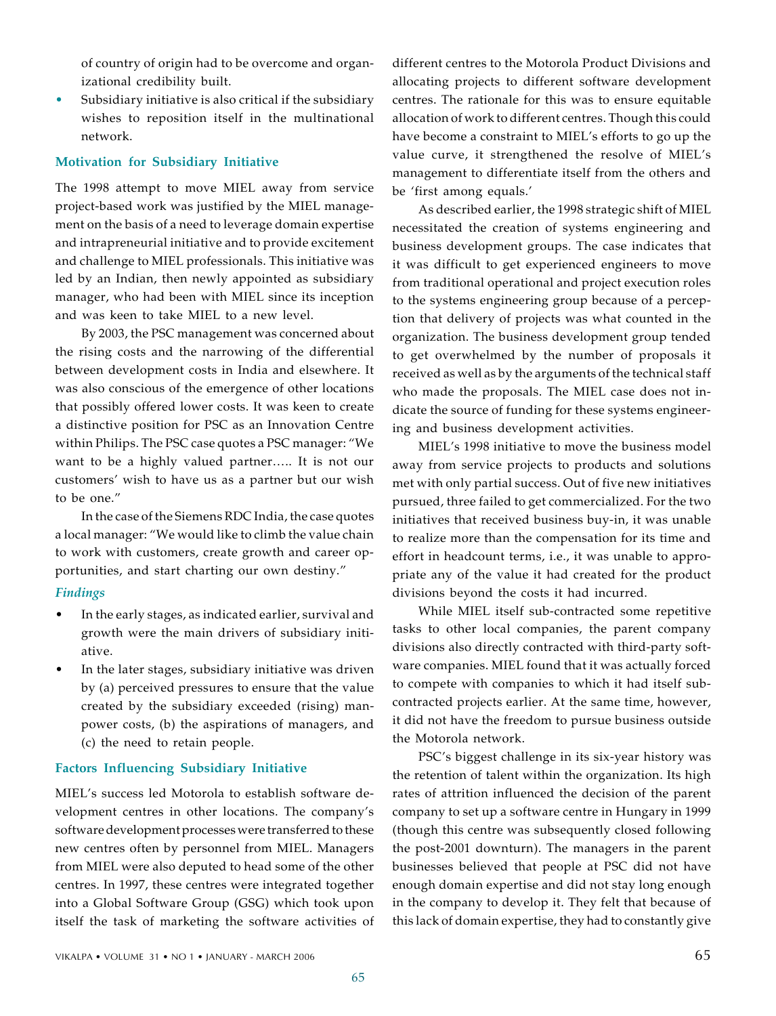of country of origin had to be overcome and organizational credibility built.

• Subsidiary initiative is also critical if the subsidiary wishes to reposition itself in the multinational network.

#### **Motivation for Subsidiary Initiative**

The 1998 attempt to move MIEL away from service project-based work was justified by the MIEL management on the basis of a need to leverage domain expertise and intrapreneurial initiative and to provide excitement and challenge to MIEL professionals. This initiative was led by an Indian, then newly appointed as subsidiary manager, who had been with MIEL since its inception and was keen to take MIEL to a new level.

By 2003, the PSC management was concerned about the rising costs and the narrowing of the differential between development costs in India and elsewhere. It was also conscious of the emergence of other locations that possibly offered lower costs. It was keen to create a distinctive position for PSC as an Innovation Centre within Philips. The PSC case quotes a PSC manager: "We want to be a highly valued partner….. It is not our customers' wish to have us as a partner but our wish to be one."

In the case of the Siemens RDC India, the case quotes a local manager: "We would like to climb the value chain to work with customers, create growth and career opportunities, and start charting our own destiny."

# *Findings*

- In the early stages, as indicated earlier, survival and growth were the main drivers of subsidiary initiative.
- In the later stages, subsidiary initiative was driven by (a) perceived pressures to ensure that the value created by the subsidiary exceeded (rising) manpower costs, (b) the aspirations of managers, and (c) the need to retain people.

# **Factors Influencing Subsidiary Initiative**

MIEL's success led Motorola to establish software development centres in other locations. The company's software development processes were transferred to these new centres often by personnel from MIEL. Managers from MIEL were also deputed to head some of the other centres. In 1997, these centres were integrated together into a Global Software Group (GSG) which took upon itself the task of marketing the software activities of

different centres to the Motorola Product Divisions and allocating projects to different software development centres. The rationale for this was to ensure equitable allocation of work to different centres. Though this could have become a constraint to MIEL's efforts to go up the value curve, it strengthened the resolve of MIEL's management to differentiate itself from the others and be 'first among equals.'

As described earlier, the 1998 strategic shift of MIEL necessitated the creation of systems engineering and business development groups. The case indicates that it was difficult to get experienced engineers to move from traditional operational and project execution roles to the systems engineering group because of a perception that delivery of projects was what counted in the organization. The business development group tended to get overwhelmed by the number of proposals it received as well as by the arguments of the technical staff who made the proposals. The MIEL case does not indicate the source of funding for these systems engineering and business development activities.

MIEL's 1998 initiative to move the business model away from service projects to products and solutions met with only partial success. Out of five new initiatives pursued, three failed to get commercialized. For the two initiatives that received business buy-in, it was unable to realize more than the compensation for its time and effort in headcount terms, i.e., it was unable to appropriate any of the value it had created for the product divisions beyond the costs it had incurred.

While MIEL itself sub-contracted some repetitive tasks to other local companies, the parent company divisions also directly contracted with third-party software companies. MIEL found that it was actually forced to compete with companies to which it had itself subcontracted projects earlier. At the same time, however, it did not have the freedom to pursue business outside the Motorola network.

PSC's biggest challenge in its six-year history was the retention of talent within the organization. Its high rates of attrition influenced the decision of the parent company to set up a software centre in Hungary in 1999 (though this centre was subsequently closed following the post-2001 downturn). The managers in the parent businesses believed that people at PSC did not have enough domain expertise and did not stay long enough in the company to develop it. They felt that because of this lack of domain expertise, they had to constantly give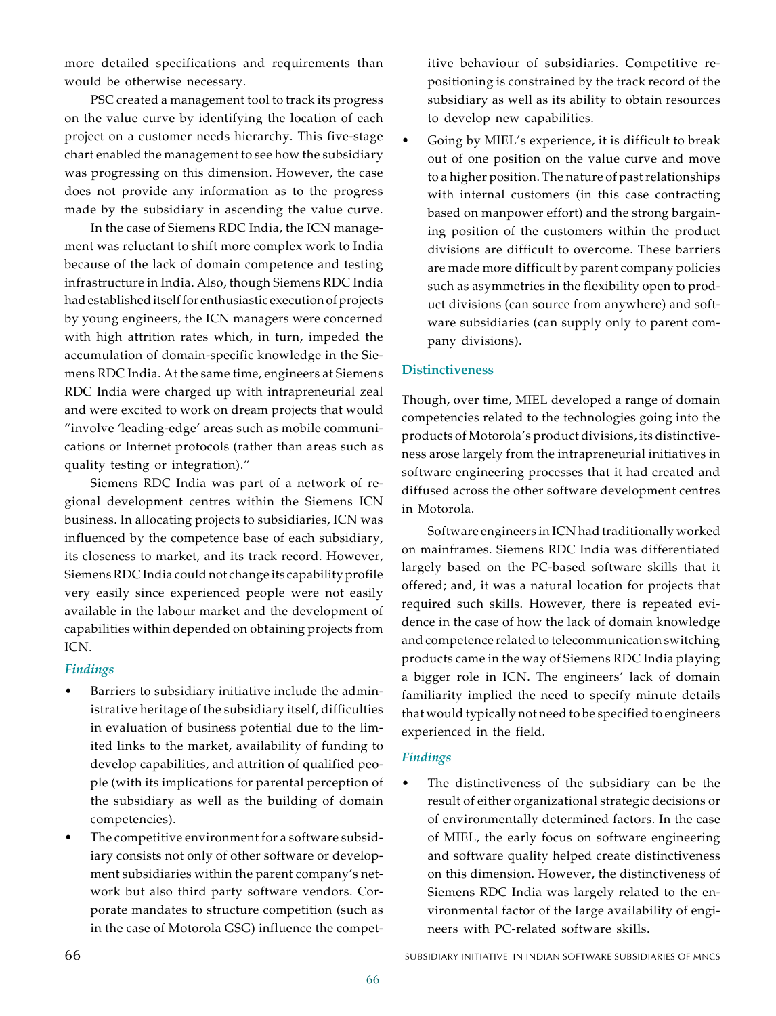more detailed specifications and requirements than would be otherwise necessary.

PSC created a management tool to track its progress on the value curve by identifying the location of each project on a customer needs hierarchy. This five-stage chart enabled the management to see how the subsidiary was progressing on this dimension. However, the case does not provide any information as to the progress made by the subsidiary in ascending the value curve.

In the case of Siemens RDC India, the ICN management was reluctant to shift more complex work to India because of the lack of domain competence and testing infrastructure in India. Also, though Siemens RDC India had established itself for enthusiastic execution of projects by young engineers, the ICN managers were concerned with high attrition rates which, in turn, impeded the accumulation of domain-specific knowledge in the Siemens RDC India. At the same time, engineers at Siemens RDC India were charged up with intrapreneurial zeal and were excited to work on dream projects that would "involve 'leading-edge' areas such as mobile communications or Internet protocols (rather than areas such as quality testing or integration)."

Siemens RDC India was part of a network of regional development centres within the Siemens ICN business. In allocating projects to subsidiaries, ICN was influenced by the competence base of each subsidiary, its closeness to market, and its track record. However, Siemens RDC India could not change its capability profile very easily since experienced people were not easily available in the labour market and the development of capabilities within depended on obtaining projects from ICN.

# *Findings*

- Barriers to subsidiary initiative include the administrative heritage of the subsidiary itself, difficulties in evaluation of business potential due to the limited links to the market, availability of funding to develop capabilities, and attrition of qualified people (with its implications for parental perception of the subsidiary as well as the building of domain competencies).
- The competitive environment for a software subsidiary consists not only of other software or development subsidiaries within the parent company's network but also third party software vendors. Corporate mandates to structure competition (such as in the case of Motorola GSG) influence the compet-

itive behaviour of subsidiaries. Competitive repositioning is constrained by the track record of the subsidiary as well as its ability to obtain resources to develop new capabilities.

Going by MIEL's experience, it is difficult to break out of one position on the value curve and move to a higher position. The nature of past relationships with internal customers (in this case contracting based on manpower effort) and the strong bargaining position of the customers within the product divisions are difficult to overcome. These barriers are made more difficult by parent company policies such as asymmetries in the flexibility open to product divisions (can source from anywhere) and software subsidiaries (can supply only to parent company divisions).

# **Distinctiveness**

Though, over time, MIEL developed a range of domain competencies related to the technologies going into the products of Motorola's product divisions, its distinctiveness arose largely from the intrapreneurial initiatives in software engineering processes that it had created and diffused across the other software development centres in Motorola.

Software engineers in ICN had traditionally worked on mainframes. Siemens RDC India was differentiated largely based on the PC-based software skills that it offered; and, it was a natural location for projects that required such skills. However, there is repeated evidence in the case of how the lack of domain knowledge and competence related to telecommunication switching products came in the way of Siemens RDC India playing a bigger role in ICN. The engineers' lack of domain familiarity implied the need to specify minute details that would typically not need to be specified to engineers experienced in the field.

# *Findings*

The distinctiveness of the subsidiary can be the result of either organizational strategic decisions or of environmentally determined factors. In the case of MIEL, the early focus on software engineering and software quality helped create distinctiveness on this dimension. However, the distinctiveness of Siemens RDC India was largely related to the environmental factor of the large availability of engineers with PC-related software skills.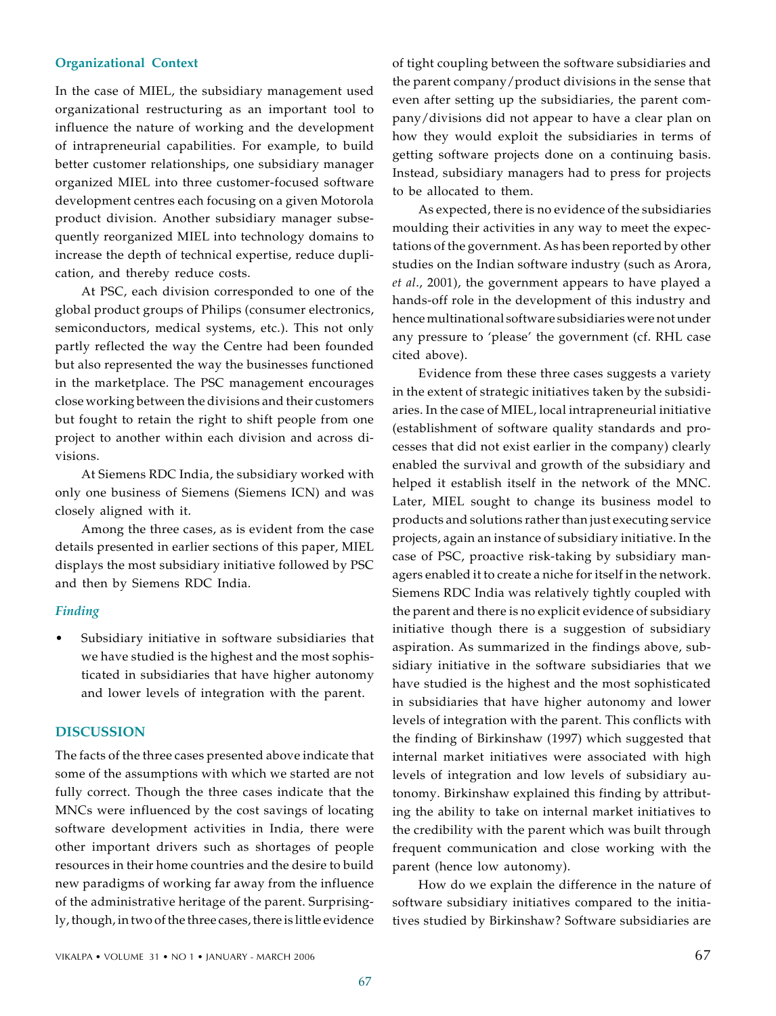## **Organizational Context**

In the case of MIEL, the subsidiary management used organizational restructuring as an important tool to influence the nature of working and the development of intrapreneurial capabilities. For example, to build better customer relationships, one subsidiary manager organized MIEL into three customer-focused software development centres each focusing on a given Motorola product division. Another subsidiary manager subsequently reorganized MIEL into technology domains to increase the depth of technical expertise, reduce duplication, and thereby reduce costs.

At PSC, each division corresponded to one of the global product groups of Philips (consumer electronics, semiconductors, medical systems, etc.). This not only partly reflected the way the Centre had been founded but also represented the way the businesses functioned in the marketplace. The PSC management encourages close working between the divisions and their customers but fought to retain the right to shift people from one project to another within each division and across divisions.

At Siemens RDC India, the subsidiary worked with only one business of Siemens (Siemens ICN) and was closely aligned with it.

Among the three cases, as is evident from the case details presented in earlier sections of this paper, MIEL displays the most subsidiary initiative followed by PSC and then by Siemens RDC India.

# *Finding*

Subsidiary initiative in software subsidiaries that we have studied is the highest and the most sophisticated in subsidiaries that have higher autonomy and lower levels of integration with the parent.

# **DISCUSSION**

The facts of the three cases presented above indicate that some of the assumptions with which we started are not fully correct. Though the three cases indicate that the MNCs were influenced by the cost savings of locating software development activities in India, there were other important drivers such as shortages of people resources in their home countries and the desire to build new paradigms of working far away from the influence of the administrative heritage of the parent. Surprisingly, though, in two of the three cases, there is little evidence

of tight coupling between the software subsidiaries and the parent company/product divisions in the sense that even after setting up the subsidiaries, the parent company/divisions did not appear to have a clear plan on how they would exploit the subsidiaries in terms of getting software projects done on a continuing basis. Instead, subsidiary managers had to press for projects to be allocated to them.

As expected, there is no evidence of the subsidiaries moulding their activities in any way to meet the expectations of the government. As has been reported by other studies on the Indian software industry (such as Arora, *et al*., 2001), the government appears to have played a hands-off role in the development of this industry and hence multinational software subsidiaries were not under any pressure to 'please' the government (cf. RHL case cited above).

Evidence from these three cases suggests a variety in the extent of strategic initiatives taken by the subsidiaries. In the case of MIEL, local intrapreneurial initiative (establishment of software quality standards and processes that did not exist earlier in the company) clearly enabled the survival and growth of the subsidiary and helped it establish itself in the network of the MNC. Later, MIEL sought to change its business model to products and solutions rather than just executing service projects, again an instance of subsidiary initiative. In the case of PSC, proactive risk-taking by subsidiary managers enabled it to create a niche for itself in the network. Siemens RDC India was relatively tightly coupled with the parent and there is no explicit evidence of subsidiary initiative though there is a suggestion of subsidiary aspiration. As summarized in the findings above, subsidiary initiative in the software subsidiaries that we have studied is the highest and the most sophisticated in subsidiaries that have higher autonomy and lower levels of integration with the parent. This conflicts with the finding of Birkinshaw (1997) which suggested that internal market initiatives were associated with high levels of integration and low levels of subsidiary autonomy. Birkinshaw explained this finding by attributing the ability to take on internal market initiatives to the credibility with the parent which was built through frequent communication and close working with the parent (hence low autonomy).

How do we explain the difference in the nature of software subsidiary initiatives compared to the initiatives studied by Birkinshaw? Software subsidiaries are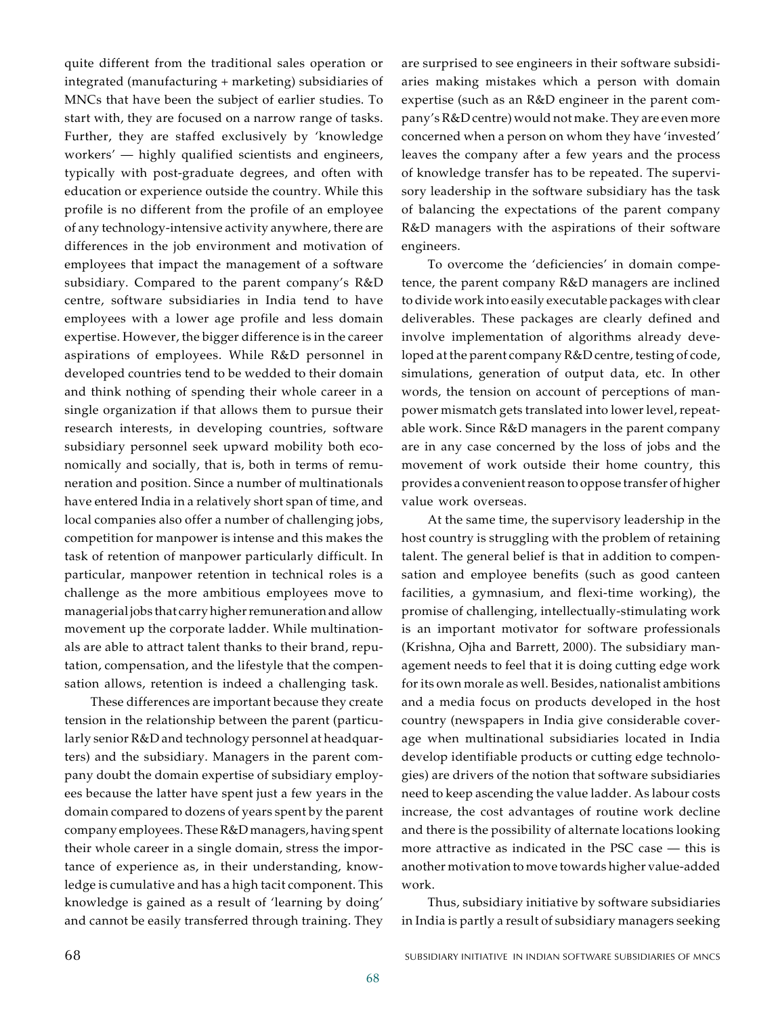quite different from the traditional sales operation or integrated (manufacturing + marketing) subsidiaries of MNCs that have been the subject of earlier studies. To start with, they are focused on a narrow range of tasks. Further, they are staffed exclusively by 'knowledge workers' — highly qualified scientists and engineers, typically with post-graduate degrees, and often with education or experience outside the country. While this profile is no different from the profile of an employee of any technology-intensive activity anywhere, there are differences in the job environment and motivation of employees that impact the management of a software subsidiary. Compared to the parent company's R&D centre, software subsidiaries in India tend to have employees with a lower age profile and less domain expertise. However, the bigger difference is in the career aspirations of employees. While R&D personnel in developed countries tend to be wedded to their domain and think nothing of spending their whole career in a single organization if that allows them to pursue their research interests, in developing countries, software subsidiary personnel seek upward mobility both economically and socially, that is, both in terms of remuneration and position. Since a number of multinationals have entered India in a relatively short span of time, and local companies also offer a number of challenging jobs, competition for manpower is intense and this makes the task of retention of manpower particularly difficult. In particular, manpower retention in technical roles is a challenge as the more ambitious employees move to managerial jobs that carry higher remuneration and allow movement up the corporate ladder. While multinationals are able to attract talent thanks to their brand, reputation, compensation, and the lifestyle that the compensation allows, retention is indeed a challenging task.

These differences are important because they create tension in the relationship between the parent (particularly senior R&D and technology personnel at headquarters) and the subsidiary. Managers in the parent company doubt the domain expertise of subsidiary employees because the latter have spent just a few years in the domain compared to dozens of years spent by the parent company employees. These R&D managers, having spent their whole career in a single domain, stress the importance of experience as, in their understanding, knowledge is cumulative and has a high tacit component. This knowledge is gained as a result of 'learning by doing' and cannot be easily transferred through training. They

are surprised to see engineers in their software subsidiaries making mistakes which a person with domain expertise (such as an R&D engineer in the parent company's R&D centre) would not make. They are even more concerned when a person on whom they have 'invested' leaves the company after a few years and the process of knowledge transfer has to be repeated. The supervisory leadership in the software subsidiary has the task of balancing the expectations of the parent company R&D managers with the aspirations of their software engineers.

To overcome the 'deficiencies' in domain competence, the parent company R&D managers are inclined to divide work into easily executable packages with clear deliverables. These packages are clearly defined and involve implementation of algorithms already developed at the parent company R&D centre, testing of code, simulations, generation of output data, etc. In other words, the tension on account of perceptions of manpower mismatch gets translated into lower level, repeatable work. Since R&D managers in the parent company are in any case concerned by the loss of jobs and the movement of work outside their home country, this provides a convenient reason to oppose transfer of higher value work overseas.

At the same time, the supervisory leadership in the host country is struggling with the problem of retaining talent. The general belief is that in addition to compensation and employee benefits (such as good canteen facilities, a gymnasium, and flexi-time working), the promise of challenging, intellectually-stimulating work is an important motivator for software professionals (Krishna, Ojha and Barrett, 2000). The subsidiary management needs to feel that it is doing cutting edge work for its own morale as well. Besides, nationalist ambitions and a media focus on products developed in the host country (newspapers in India give considerable coverage when multinational subsidiaries located in India develop identifiable products or cutting edge technologies) are drivers of the notion that software subsidiaries need to keep ascending the value ladder. As labour costs increase, the cost advantages of routine work decline and there is the possibility of alternate locations looking more attractive as indicated in the PSC case — this is another motivation to move towards higher value-added work.

Thus, subsidiary initiative by software subsidiaries in India is partly a result of subsidiary managers seeking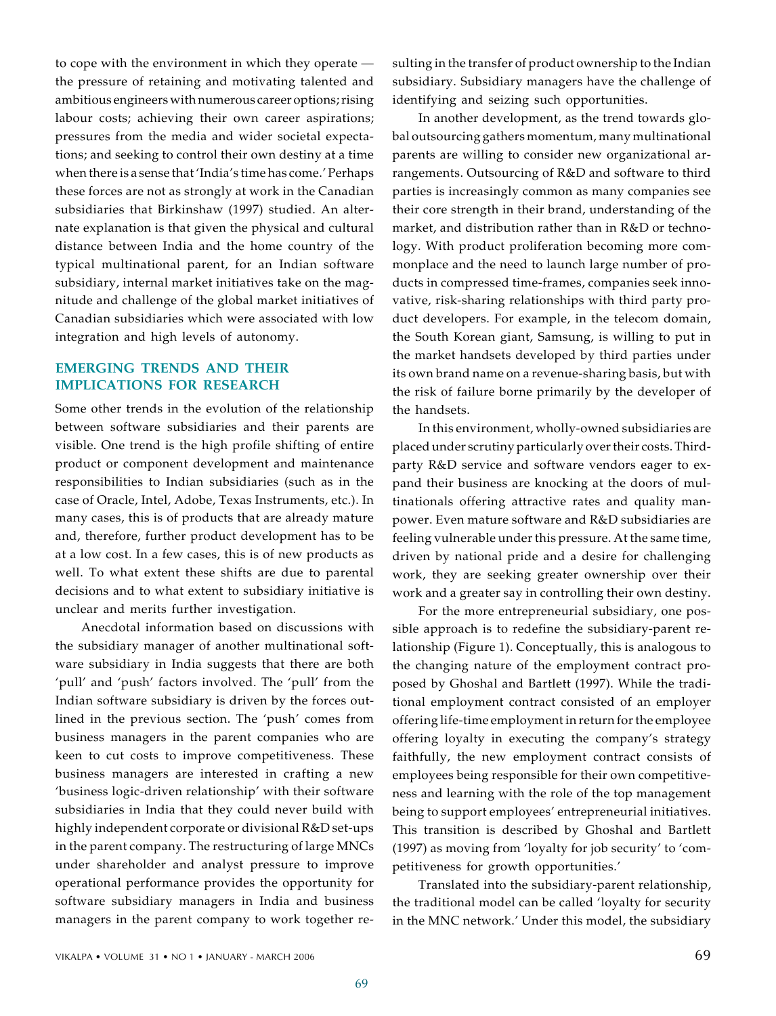to cope with the environment in which they operate the pressure of retaining and motivating talented and ambitious engineers with numerous career options; rising labour costs; achieving their own career aspirations; pressures from the media and wider societal expectations; and seeking to control their own destiny at a time when there is a sense that 'India's time has come.' Perhaps these forces are not as strongly at work in the Canadian subsidiaries that Birkinshaw (1997) studied. An alternate explanation is that given the physical and cultural distance between India and the home country of the typical multinational parent, for an Indian software subsidiary, internal market initiatives take on the magnitude and challenge of the global market initiatives of Canadian subsidiaries which were associated with low integration and high levels of autonomy.

# **EMERGING TRENDS AND THEIR IMPLICATIONS FOR RESEARCH**

Some other trends in the evolution of the relationship between software subsidiaries and their parents are visible. One trend is the high profile shifting of entire product or component development and maintenance responsibilities to Indian subsidiaries (such as in the case of Oracle, Intel, Adobe, Texas Instruments, etc.). In many cases, this is of products that are already mature and, therefore, further product development has to be at a low cost. In a few cases, this is of new products as well. To what extent these shifts are due to parental decisions and to what extent to subsidiary initiative is unclear and merits further investigation.

Anecdotal information based on discussions with the subsidiary manager of another multinational software subsidiary in India suggests that there are both 'pull' and 'push' factors involved. The 'pull' from the Indian software subsidiary is driven by the forces outlined in the previous section. The 'push' comes from business managers in the parent companies who are keen to cut costs to improve competitiveness. These business managers are interested in crafting a new 'business logic-driven relationship' with their software subsidiaries in India that they could never build with highly independent corporate or divisional R&D set-ups in the parent company. The restructuring of large MNCs under shareholder and analyst pressure to improve operational performance provides the opportunity for software subsidiary managers in India and business managers in the parent company to work together resulting in the transfer of product ownership to the Indian subsidiary. Subsidiary managers have the challenge of identifying and seizing such opportunities.

In another development, as the trend towards global outsourcing gathers momentum, many multinational parents are willing to consider new organizational arrangements. Outsourcing of R&D and software to third parties is increasingly common as many companies see their core strength in their brand, understanding of the market, and distribution rather than in R&D or technology. With product proliferation becoming more commonplace and the need to launch large number of products in compressed time-frames, companies seek innovative, risk-sharing relationships with third party product developers. For example, in the telecom domain, the South Korean giant, Samsung, is willing to put in the market handsets developed by third parties under its own brand name on a revenue-sharing basis, but with the risk of failure borne primarily by the developer of the handsets.

In this environment, wholly-owned subsidiaries are placed under scrutiny particularly over their costs. Thirdparty R&D service and software vendors eager to expand their business are knocking at the doors of multinationals offering attractive rates and quality manpower. Even mature software and R&D subsidiaries are feeling vulnerable under this pressure. At the same time, driven by national pride and a desire for challenging work, they are seeking greater ownership over their work and a greater say in controlling their own destiny.

For the more entrepreneurial subsidiary, one possible approach is to redefine the subsidiary-parent relationship (Figure 1). Conceptually, this is analogous to the changing nature of the employment contract proposed by Ghoshal and Bartlett (1997). While the traditional employment contract consisted of an employer offering life-time employment in return for the employee offering loyalty in executing the company's strategy faithfully, the new employment contract consists of employees being responsible for their own competitiveness and learning with the role of the top management being to support employees' entrepreneurial initiatives. This transition is described by Ghoshal and Bartlett (1997) as moving from 'loyalty for job security' to 'competitiveness for growth opportunities.'

Translated into the subsidiary-parent relationship, the traditional model can be called 'loyalty for security in the MNC network.' Under this model, the subsidiary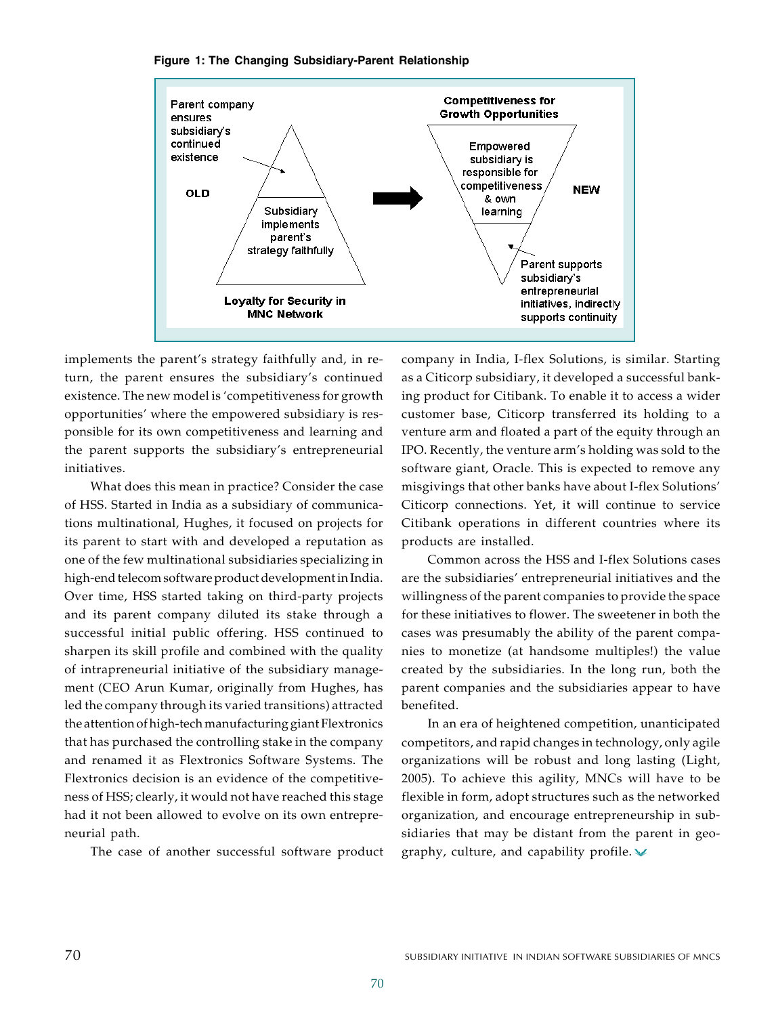

#### **Figure 1: The Changing Subsidiary-Parent Relationship**

implements the parent's strategy faithfully and, in return, the parent ensures the subsidiary's continued existence. The new model is 'competitiveness for growth opportunities' where the empowered subsidiary is responsible for its own competitiveness and learning and the parent supports the subsidiary's entrepreneurial initiatives.

What does this mean in practice? Consider the case of HSS. Started in India as a subsidiary of communications multinational, Hughes, it focused on projects for its parent to start with and developed a reputation as one of the few multinational subsidiaries specializing in high-end telecom software product development in India. Over time, HSS started taking on third-party projects and its parent company diluted its stake through a successful initial public offering. HSS continued to sharpen its skill profile and combined with the quality of intrapreneurial initiative of the subsidiary management (CEO Arun Kumar, originally from Hughes, has led the company through its varied transitions) attracted the attention of high-tech manufacturing giant Flextronics that has purchased the controlling stake in the company and renamed it as Flextronics Software Systems. The Flextronics decision is an evidence of the competitiveness of HSS; clearly, it would not have reached this stage had it not been allowed to evolve on its own entrepreneurial path.

The case of another successful software product

company in India, I-flex Solutions, is similar. Starting as a Citicorp subsidiary, it developed a successful banking product for Citibank. To enable it to access a wider customer base, Citicorp transferred its holding to a venture arm and floated a part of the equity through an IPO. Recently, the venture arm's holding was sold to the software giant, Oracle. This is expected to remove any misgivings that other banks have about I-flex Solutions' Citicorp connections. Yet, it will continue to service Citibank operations in different countries where its products are installed.

Common across the HSS and I-flex Solutions cases are the subsidiaries' entrepreneurial initiatives and the willingness of the parent companies to provide the space for these initiatives to flower. The sweetener in both the cases was presumably the ability of the parent companies to monetize (at handsome multiples!) the value created by the subsidiaries. In the long run, both the parent companies and the subsidiaries appear to have benefited.

In an era of heightened competition, unanticipated competitors, and rapid changes in technology, only agile organizations will be robust and long lasting (Light, 2005). To achieve this agility, MNCs will have to be flexible in form, adopt structures such as the networked organization, and encourage entrepreneurship in subsidiaries that may be distant from the parent in geography, culture, and capability profile.  $\vee$